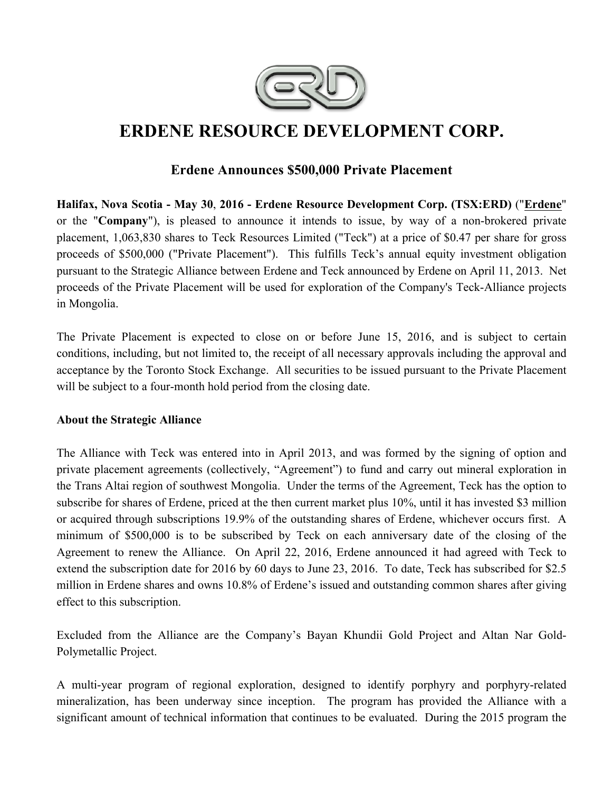

# **ERDENE RESOURCE DEVELOPMENT CORP.**

# **Erdene Announces \$500,000 Private Placement**

**Halifax, Nova Scotia - May 30**, **2016 - Erdene Resource Development Corp. (TSX:ERD)** ("**Erdene**" or the "**Company**"), is pleased to announce it intends to issue, by way of a non-brokered private placement, 1,063,830 shares to Teck Resources Limited ("Teck") at a price of \$0.47 per share for gross proceeds of \$500,000 ("Private Placement"). This fulfills Teck's annual equity investment obligation pursuant to the Strategic Alliance between Erdene and Teck announced by Erdene on April 11, 2013. Net proceeds of the Private Placement will be used for exploration of the Company's Teck-Alliance projects in Mongolia.

The Private Placement is expected to close on or before June 15, 2016, and is subject to certain conditions, including, but not limited to, the receipt of all necessary approvals including the approval and acceptance by the Toronto Stock Exchange. All securities to be issued pursuant to the Private Placement will be subject to a four-month hold period from the closing date.

### **About the Strategic Alliance**

The Alliance with Teck was entered into in April 2013, and was formed by the signing of option and private placement agreements (collectively, "Agreement") to fund and carry out mineral exploration in the Trans Altai region of southwest Mongolia. Under the terms of the Agreement, Teck has the option to subscribe for shares of Erdene, priced at the then current market plus 10%, until it has invested \$3 million or acquired through subscriptions 19.9% of the outstanding shares of Erdene, whichever occurs first. A minimum of \$500,000 is to be subscribed by Teck on each anniversary date of the closing of the Agreement to renew the Alliance. On April 22, 2016, Erdene announced it had agreed with Teck to extend the subscription date for 2016 by 60 days to June 23, 2016. To date, Teck has subscribed for \$2.5 million in Erdene shares and owns 10.8% of Erdene's issued and outstanding common shares after giving effect to this subscription.

Excluded from the Alliance are the Company's Bayan Khundii Gold Project and Altan Nar Gold-Polymetallic Project.

A multi-year program of regional exploration, designed to identify porphyry and porphyry-related mineralization, has been underway since inception. The program has provided the Alliance with a significant amount of technical information that continues to be evaluated. During the 2015 program the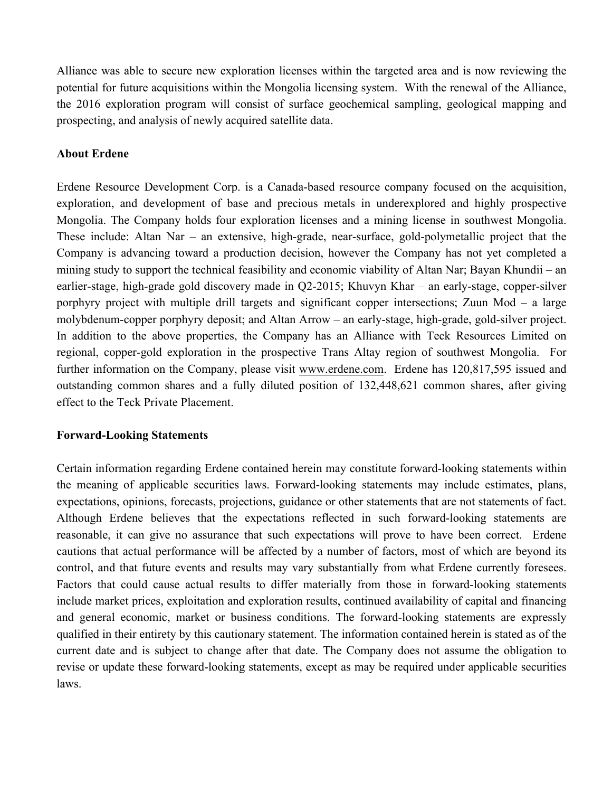Alliance was able to secure new exploration licenses within the targeted area and is now reviewing the potential for future acquisitions within the Mongolia licensing system. With the renewal of the Alliance, the 2016 exploration program will consist of surface geochemical sampling, geological mapping and prospecting, and analysis of newly acquired satellite data.

## **About Erdene**

Erdene Resource Development Corp. is a Canada-based resource company focused on the acquisition, exploration, and development of base and precious metals in underexplored and highly prospective Mongolia. The Company holds four exploration licenses and a mining license in southwest Mongolia. These include: Altan Nar – an extensive, high-grade, near-surface, gold-polymetallic project that the Company is advancing toward a production decision, however the Company has not yet completed a mining study to support the technical feasibility and economic viability of Altan Nar; Bayan Khundii – an earlier-stage, high-grade gold discovery made in Q2-2015; Khuvyn Khar – an early-stage, copper-silver porphyry project with multiple drill targets and significant copper intersections; Zuun Mod – a large molybdenum-copper porphyry deposit; and Altan Arrow – an early-stage, high-grade, gold-silver project. In addition to the above properties, the Company has an Alliance with Teck Resources Limited on regional, copper-gold exploration in the prospective Trans Altay region of southwest Mongolia. For further information on the Company, please visit www.erdene.com. Erdene has 120,817,595 issued and outstanding common shares and a fully diluted position of 132,448,621 common shares, after giving effect to the Teck Private Placement.

### **Forward-Looking Statements**

Certain information regarding Erdene contained herein may constitute forward-looking statements within the meaning of applicable securities laws. Forward-looking statements may include estimates, plans, expectations, opinions, forecasts, projections, guidance or other statements that are not statements of fact. Although Erdene believes that the expectations reflected in such forward-looking statements are reasonable, it can give no assurance that such expectations will prove to have been correct. Erdene cautions that actual performance will be affected by a number of factors, most of which are beyond its control, and that future events and results may vary substantially from what Erdene currently foresees. Factors that could cause actual results to differ materially from those in forward-looking statements include market prices, exploitation and exploration results, continued availability of capital and financing and general economic, market or business conditions. The forward-looking statements are expressly qualified in their entirety by this cautionary statement. The information contained herein is stated as of the current date and is subject to change after that date. The Company does not assume the obligation to revise or update these forward-looking statements, except as may be required under applicable securities laws.